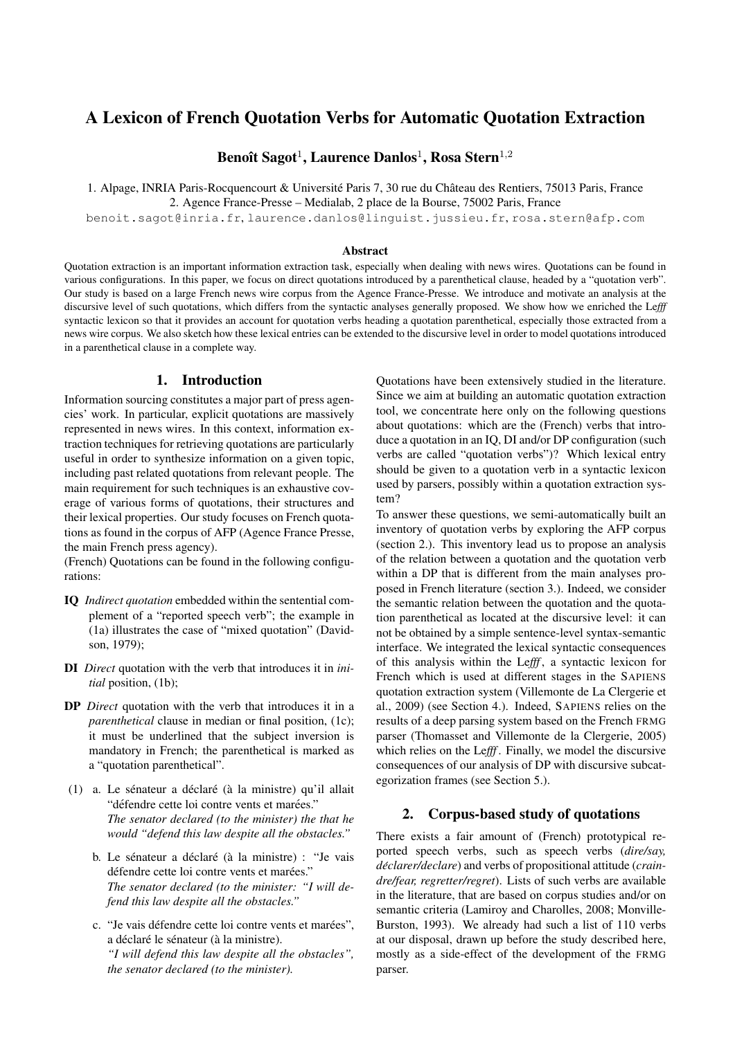# A Lexicon of French Quotation Verbs for Automatic Quotation Extraction

Benoît Sagot<sup>1</sup>, Laurence Danlos<sup>1</sup>, Rosa Stern<sup>1,2</sup>

1. Alpage, INRIA Paris-Rocquencourt & Université Paris 7, 30 rue du Château des Rentiers, 75013 Paris, France 2. Agence France-Presse – Medialab, 2 place de la Bourse, 75002 Paris, France

benoit.sagot@inria.fr, laurence.danlos@linguist.jussieu.fr, rosa.stern@afp.com

#### Abstract

Quotation extraction is an important information extraction task, especially when dealing with news wires. Quotations can be found in various configurations. In this paper, we focus on direct quotations introduced by a parenthetical clause, headed by a "quotation verb". Our study is based on a large French news wire corpus from the Agence France-Presse. We introduce and motivate an analysis at the discursive level of such quotations, which differs from the syntactic analyses generally proposed. We show how we enriched the Le*fff* syntactic lexicon so that it provides an account for quotation verbs heading a quotation parenthetical, especially those extracted from a news wire corpus. We also sketch how these lexical entries can be extended to the discursive level in order to model quotations introduced in a parenthetical clause in a complete way.

### 1. Introduction

Information sourcing constitutes a major part of press agencies' work. In particular, explicit quotations are massively represented in news wires. In this context, information extraction techniques for retrieving quotations are particularly useful in order to synthesize information on a given topic, including past related quotations from relevant people. The main requirement for such techniques is an exhaustive coverage of various forms of quotations, their structures and their lexical properties. Our study focuses on French quotations as found in the corpus of AFP (Agence France Presse, the main French press agency).

(French) Quotations can be found in the following configurations:

- IQ *Indirect quotation* embedded within the sentential complement of a "reported speech verb"; the example in (1a) illustrates the case of "mixed quotation" (Davidson, 1979);
- DI *Direct* quotation with the verb that introduces it in *initial* position, (1b);
- DP *Direct* quotation with the verb that introduces it in a *parenthetical* clause in median or final position, (1c); it must be underlined that the subject inversion is mandatory in French; the parenthetical is marked as a "quotation parenthetical".
- $(1)$  a. Le sénateur a déclaré (à la ministre) qu'il allait "défendre cette loi contre vents et marées." *The senator declared (to the minister) the that he would "defend this law despite all the obstacles."*
	- b. Le sénateur a déclaré (à la ministre) : "Je vais défendre cette loi contre vents et marées." *The senator declared (to the minister: "I will defend this law despite all the obstacles."*
	- c. "Je vais défendre cette loi contre vents et marées", a déclaré le sénateur (à la ministre). *"I will defend this law despite all the obstacles", the senator declared (to the minister).*

Quotations have been extensively studied in the literature. Since we aim at building an automatic quotation extraction tool, we concentrate here only on the following questions about quotations: which are the (French) verbs that introduce a quotation in an IQ, DI and/or DP configuration (such verbs are called "quotation verbs")? Which lexical entry should be given to a quotation verb in a syntactic lexicon used by parsers, possibly within a quotation extraction system?

To answer these questions, we semi-automatically built an inventory of quotation verbs by exploring the AFP corpus (section 2.). This inventory lead us to propose an analysis of the relation between a quotation and the quotation verb within a DP that is different from the main analyses proposed in French literature (section 3.). Indeed, we consider the semantic relation between the quotation and the quotation parenthetical as located at the discursive level: it can not be obtained by a simple sentence-level syntax-semantic interface. We integrated the lexical syntactic consequences of this analysis within the Le*fff* , a syntactic lexicon for French which is used at different stages in the SAPIENS quotation extraction system (Villemonte de La Clergerie et al., 2009) (see Section 4.). Indeed, SAPIENS relies on the results of a deep parsing system based on the French FRMG parser (Thomasset and Villemonte de la Clergerie, 2005) which relies on the Lefff. Finally, we model the discursive consequences of our analysis of DP with discursive subcategorization frames (see Section 5.).

### 2. Corpus-based study of quotations

There exists a fair amount of (French) prototypical reported speech verbs, such as speech verbs (*dire/say, declarer/declare ´* ) and verbs of propositional attitude (*craindre/fear, regretter/regret*). Lists of such verbs are available in the literature, that are based on corpus studies and/or on semantic criteria (Lamiroy and Charolles, 2008; Monville-Burston, 1993). We already had such a list of 110 verbs at our disposal, drawn up before the study described here, mostly as a side-effect of the development of the FRMG parser.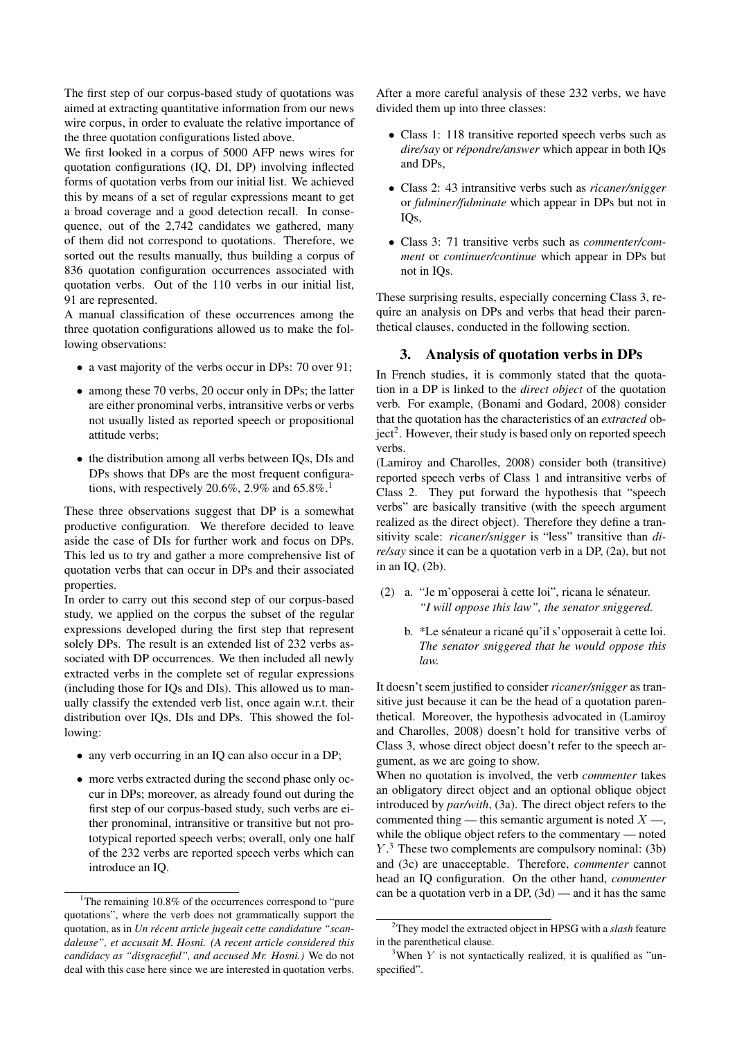The first step of our corpus-based study of quotations was aimed at extracting quantitative information from our news wire corpus, in order to evaluate the relative importance of the three quotation configurations listed above.

We first looked in a corpus of 5000 AFP news wires for quotation configurations (IQ, DI, DP) involving inflected forms of quotation verbs from our initial list. We achieved this by means of a set of regular expressions meant to get a broad coverage and a good detection recall. In consequence, out of the 2,742 candidates we gathered, many of them did not correspond to quotations. Therefore, we sorted out the results manually, thus building a corpus of 836 quotation configuration occurrences associated with quotation verbs. Out of the 110 verbs in our initial list, 91 are represented.

A manual classification of these occurrences among the three quotation configurations allowed us to make the following observations:

- a vast majority of the verbs occur in DPs: 70 over 91;
- among these 70 verbs, 20 occur only in DPs; the latter are either pronominal verbs, intransitive verbs or verbs not usually listed as reported speech or propositional attitude verbs;
- the distribution among all verbs between IQs, DIs and DPs shows that DPs are the most frequent configurations, with respectively 20.6%, 2.9% and  $65.8\%$ .<sup>1</sup>

These three observations suggest that DP is a somewhat productive configuration. We therefore decided to leave aside the case of DIs for further work and focus on DPs. This led us to try and gather a more comprehensive list of quotation verbs that can occur in DPs and their associated properties.

In order to carry out this second step of our corpus-based study, we applied on the corpus the subset of the regular expressions developed during the first step that represent solely DPs. The result is an extended list of 232 verbs associated with DP occurrences. We then included all newly extracted verbs in the complete set of regular expressions (including those for IQs and DIs). This allowed us to manually classify the extended verb list, once again w.r.t. their distribution over IQs, DIs and DPs. This showed the following:

- any verb occurring in an IQ can also occur in a DP;
- more verbs extracted during the second phase only occur in DPs; moreover, as already found out during the first step of our corpus-based study, such verbs are either pronominal, intransitive or transitive but not prototypical reported speech verbs; overall, only one half of the 232 verbs are reported speech verbs which can introduce an IQ.

After a more careful analysis of these 232 verbs, we have divided them up into three classes:

- Class 1: 118 transitive reported speech verbs such as *dire/say* or *repondre/answer ´* which appear in both IQs and DPs,
- Class 2: 43 intransitive verbs such as *ricaner/snigger* or *fulminer/fulminate* which appear in DPs but not in IQs,
- Class 3: 71 transitive verbs such as *commenter/comment* or *continuer/continue* which appear in DPs but not in IQs.

These surprising results, especially concerning Class 3, require an analysis on DPs and verbs that head their parenthetical clauses, conducted in the following section.

## 3. Analysis of quotation verbs in DPs

In French studies, it is commonly stated that the quotation in a DP is linked to the *direct object* of the quotation verb. For example, (Bonami and Godard, 2008) consider that the quotation has the characteristics of an *extracted* object<sup>2</sup>. However, their study is based only on reported speech verbs.

(Lamiroy and Charolles, 2008) consider both (transitive) reported speech verbs of Class 1 and intransitive verbs of Class 2. They put forward the hypothesis that "speech verbs" are basically transitive (with the speech argument realized as the direct object). Therefore they define a transitivity scale: *ricaner/snigger* is "less" transitive than *dire/say* since it can be a quotation verb in a DP, (2a), but not in an IQ, (2b).

- (2) a. "Je m'opposerai à cette loi", ricana le sénateur. *"I will oppose this law", the senator sniggered.*
	- b. \*Le sénateur a ricané qu'il s'opposerait à cette loi. *The senator sniggered that he would oppose this law.*

It doesn't seem justified to consider *ricaner/snigger* as transitive just because it can be the head of a quotation parenthetical. Moreover, the hypothesis advocated in (Lamiroy and Charolles, 2008) doesn't hold for transitive verbs of Class 3, whose direct object doesn't refer to the speech argument, as we are going to show.

When no quotation is involved, the verb *commenter* takes an obligatory direct object and an optional oblique object introduced by *par/with*, (3a). The direct object refers to the commented thing — this semantic argument is noted  $X \rightarrow$ , while the oblique object refers to the commentary — noted  $Y<sup>3</sup>$ . These two complements are compulsory nominal: (3b) and (3c) are unacceptable. Therefore, *commenter* cannot head an IQ configuration. On the other hand, *commenter* can be a quotation verb in a DP,  $(3d)$  — and it has the same

<sup>&</sup>lt;sup>1</sup>The remaining 10.8% of the occurrences correspond to "pure quotations", where the verb does not grammatically support the quotation, as in *Un recent article jugeait cette candidature "scan- ´ daleuse", et accusait M. Hosni. (A recent article considered this candidacy as "disgraceful", and accused Mr. Hosni.)* We do not deal with this case here since we are interested in quotation verbs.

<sup>2</sup>They model the extracted object in HPSG with a *slash* feature in the parenthetical clause.

<sup>&</sup>lt;sup>3</sup>When Y is not syntactically realized, it is qualified as "unspecified".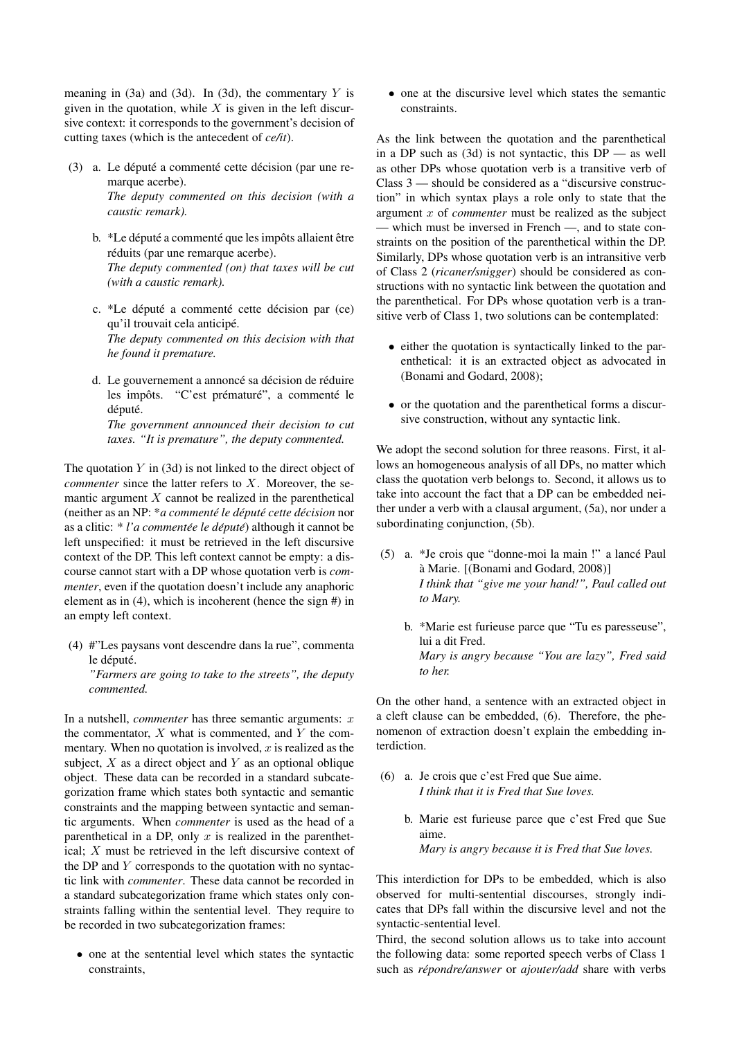meaning in  $(3a)$  and  $(3d)$ . In  $(3d)$ , the commentary Y is given in the quotation, while  $X$  is given in the left discursive context: it corresponds to the government's decision of cutting taxes (which is the antecedent of *ce/it*).

- (3) a. Le député a commenté cette décision (par une remarque acerbe). *The deputy commented on this decision (with a caustic remark).*
	- b. \*Le député a commenté que les impôts allaient être réduits (par une remarque acerbe). *The deputy commented (on) that taxes will be cut (with a caustic remark).*
	- c. \*Le député a commenté cette décision par (ce) qu'il trouvait cela anticipé. *The deputy commented on this decision with that he found it premature.*
	- d. Le gouvernement a annoncé sa décision de réduire les impôts. "C'est prématuré", a commenté le député. *The government announced their decision to cut taxes. "It is premature", the deputy commented.*

The quotation  $Y$  in (3d) is not linked to the direct object of *commenter* since the latter refers to X. Moreover, the semantic argument  $X$  cannot be realized in the parenthetical (neither as an NP: \**a commenté le député cette décision* nor as a clitic: \* *l'a commentée le député*) although it cannot be left unspecified: it must be retrieved in the left discursive context of the DP. This left context cannot be empty: a discourse cannot start with a DP whose quotation verb is *commenter*, even if the quotation doesn't include any anaphoric element as in (4), which is incoherent (hence the sign #) in an empty left context.

(4) #"Les paysans vont descendre dans la rue", commenta le député.

*"Farmers are going to take to the streets", the deputy commented.*

In a nutshell, *commenter* has three semantic arguments: x the commentator,  $X$  what is commented, and  $Y$  the commentary. When no quotation is involved,  $x$  is realized as the subject,  $X$  as a direct object and  $Y$  as an optional oblique object. These data can be recorded in a standard subcategorization frame which states both syntactic and semantic constraints and the mapping between syntactic and semantic arguments. When *commenter* is used as the head of a parenthetical in a DP, only  $x$  is realized in the parenthetical; X must be retrieved in the left discursive context of the DP and Y corresponds to the quotation with no syntactic link with *commenter*. These data cannot be recorded in a standard subcategorization frame which states only constraints falling within the sentential level. They require to be recorded in two subcategorization frames:

• one at the sentential level which states the syntactic constraints,

• one at the discursive level which states the semantic constraints.

As the link between the quotation and the parenthetical in a DP such as  $(3d)$  is not syntactic, this DP — as well as other DPs whose quotation verb is a transitive verb of Class 3 — should be considered as a "discursive construction" in which syntax plays a role only to state that the argument x of *commenter* must be realized as the subject — which must be inversed in French —, and to state constraints on the position of the parenthetical within the DP. Similarly, DPs whose quotation verb is an intransitive verb of Class 2 (*ricaner/snigger*) should be considered as constructions with no syntactic link between the quotation and the parenthetical. For DPs whose quotation verb is a transitive verb of Class 1, two solutions can be contemplated:

- either the quotation is syntactically linked to the parenthetical: it is an extracted object as advocated in (Bonami and Godard, 2008);
- or the quotation and the parenthetical forms a discursive construction, without any syntactic link.

We adopt the second solution for three reasons. First, it allows an homogeneous analysis of all DPs, no matter which class the quotation verb belongs to. Second, it allows us to take into account the fact that a DP can be embedded neither under a verb with a clausal argument, (5a), nor under a subordinating conjunction, (5b).

- (5) a. \*Je crois que "donne-moi la main !" a lance Paul ´ a Marie. [(Bonami and Godard, 2008)] ` *I think that "give me your hand!", Paul called out to Mary.*
	- b. \*Marie est furieuse parce que "Tu es paresseuse", lui a dit Fred. *Mary is angry because "You are lazy", Fred said to her.*

On the other hand, a sentence with an extracted object in a cleft clause can be embedded, (6). Therefore, the phenomenon of extraction doesn't explain the embedding interdiction.

- (6) a. Je crois que c'est Fred que Sue aime. *I think that it is Fred that Sue loves.*
	- b. Marie est furieuse parce que c'est Fred que Sue aime. *Mary is angry because it is Fred that Sue loves.*

This interdiction for DPs to be embedded, which is also observed for multi-sentential discourses, strongly indicates that DPs fall within the discursive level and not the syntactic-sentential level.

Third, the second solution allows us to take into account the following data: some reported speech verbs of Class 1 such as *répondre/answer* or *ajouter/add* share with verbs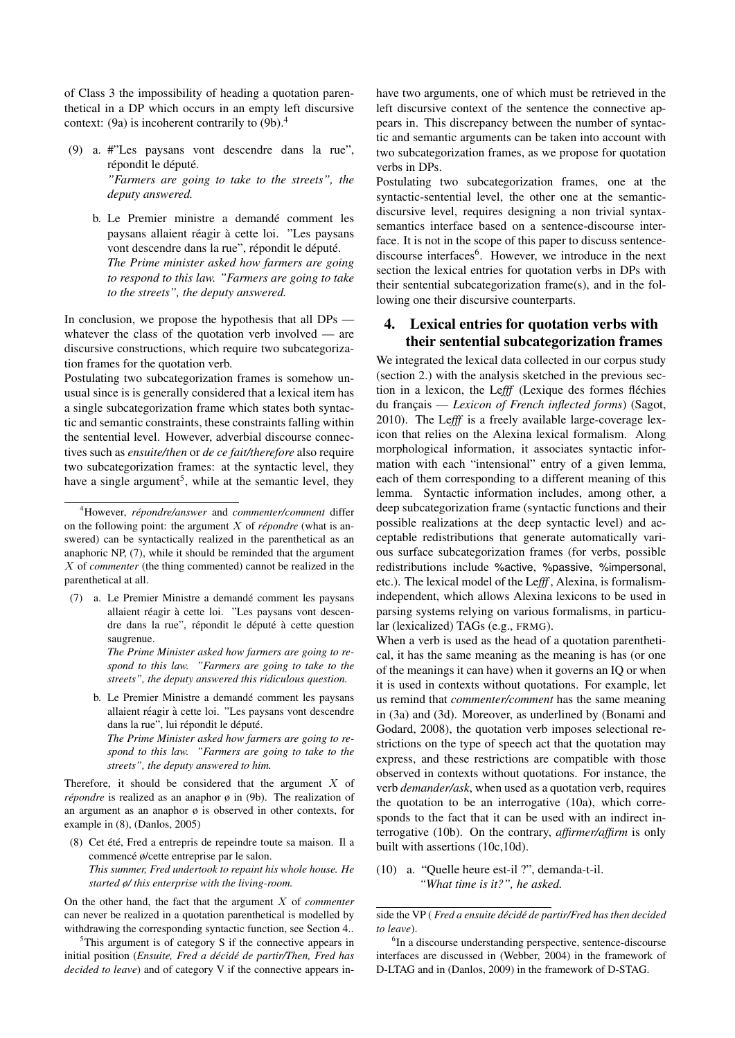of Class 3 the impossibility of heading a quotation parenthetical in a DP which occurs in an empty left discursive context: (9a) is incoherent contrarily to  $(9b)$ .<sup>4</sup>

- (9) a. #"Les paysans vont descendre dans la rue", répondit le député. *"Farmers are going to take to the streets", the deputy answered.*
	- b. Le Premier ministre a demandé comment les paysans allaient réagir à cette loi. "Les paysans vont descendre dans la rue", répondit le député. *The Prime minister asked how farmers are going to respond to this law. "Farmers are going to take to the streets", the deputy answered.*

In conclusion, we propose the hypothesis that all DPs whatever the class of the quotation verb involved — are discursive constructions, which require two subcategorization frames for the quotation verb.

Postulating two subcategorization frames is somehow unusual since is is generally considered that a lexical item has a single subcategorization frame which states both syntactic and semantic constraints, these constraints falling within the sentential level. However, adverbial discourse connectives such as *ensuite/then* or *de ce fait/therefore* also require two subcategorization frames: at the syntactic level, they have a single argument<sup>5</sup>, while at the semantic level, they

- (7) a. Le Premier Ministre a demande comment les paysans ´ allaient réagir à cette loi. "Les paysans vont descendre dans la rue", répondit le député à cette question saugrenue.
	- *The Prime Minister asked how farmers are going to respond to this law. "Farmers are going to take to the streets", the deputy answered this ridiculous question.*
	- b. Le Premier Ministre a demandé comment les paysans allaient réagir à cette loi. "Les paysans vont descendre dans la rue", lui répondit le député.

*The Prime Minister asked how farmers are going to respond to this law. "Farmers are going to take to the streets", the deputy answered to him.*

Therefore, it should be considered that the argument  $X$  of *répondre* is realized as an anaphor  $\phi$  in (9b). The realization of an argument as an anaphor  $\varphi$  is observed in other contexts, for example in (8), (Danlos, 2005)

(8) Cet été, Fred a entrepris de repeindre toute sa maison. Il a commencé ø/cette entreprise par le salon. *This summer, Fred undertook to repaint his whole house. He started ø/ this enterprise with the living-room.*

On the other hand, the fact that the argument X of *commenter* can never be realized in a quotation parenthetical is modelled by withdrawing the corresponding syntactic function, see Section 4..

 $5$ This argument is of category S if the connective appears in initial position (*Ensuite, Fred a décidé de partir/Then, Fred has decided to leave*) and of category V if the connective appears inhave two arguments, one of which must be retrieved in the left discursive context of the sentence the connective appears in. This discrepancy between the number of syntactic and semantic arguments can be taken into account with two subcategorization frames, as we propose for quotation verbs in DPs.

Postulating two subcategorization frames, one at the syntactic-sentential level, the other one at the semanticdiscursive level, requires designing a non trivial syntaxsemantics interface based on a sentence-discourse interface. It is not in the scope of this paper to discuss sentencediscourse interfaces<sup>6</sup>. However, we introduce in the next section the lexical entries for quotation verbs in DPs with their sentential subcategorization frame(s), and in the following one their discursive counterparts.

# 4. Lexical entries for quotation verbs with their sentential subcategorization frames

We integrated the lexical data collected in our corpus study (section 2.) with the analysis sketched in the previous section in a lexicon, the Le*fff* (Lexique des formes flechies ´ du français — *Lexicon of French inflected forms*) (Sagot, 2010). The Le*fff* is a freely available large-coverage lexicon that relies on the Alexina lexical formalism. Along morphological information, it associates syntactic information with each "intensional" entry of a given lemma, each of them corresponding to a different meaning of this lemma. Syntactic information includes, among other, a deep subcategorization frame (syntactic functions and their possible realizations at the deep syntactic level) and acceptable redistributions that generate automatically various surface subcategorization frames (for verbs, possible redistributions include %active, %passive, %impersonal, etc.). The lexical model of the Le*fff* , Alexina, is formalismindependent, which allows Alexina lexicons to be used in parsing systems relying on various formalisms, in particular (lexicalized) TAGs (e.g., FRMG).

When a verb is used as the head of a quotation parenthetical, it has the same meaning as the meaning is has (or one of the meanings it can have) when it governs an IQ or when it is used in contexts without quotations. For example, let us remind that *commenter/comment* has the same meaning in (3a) and (3d). Moreover, as underlined by (Bonami and Godard, 2008), the quotation verb imposes selectional restrictions on the type of speech act that the quotation may express, and these restrictions are compatible with those observed in contexts without quotations. For instance, the verb *demander/ask*, when used as a quotation verb, requires the quotation to be an interrogative (10a), which corresponds to the fact that it can be used with an indirect interrogative (10b). On the contrary, *affirmer/affirm* is only built with assertions (10c,10d).

(10) a. "Quelle heure est-il ?", demanda-t-il. *"What time is it?", he asked.*

<sup>4</sup>However, *repondre/answer ´* and *commenter/comment* differ on the following point: the argument  $X$  of *répondre* (what is answered) can be syntactically realized in the parenthetical as an anaphoric NP, (7), while it should be reminded that the argument X of *commenter* (the thing commented) cannot be realized in the parenthetical at all.

side the VP (*Fred a ensuite décidé de partir/Fred has then decided to leave*).

<sup>&</sup>lt;sup>6</sup>In a discourse understanding perspective, sentence-discourse interfaces are discussed in (Webber, 2004) in the framework of D-LTAG and in (Danlos, 2009) in the framework of D-STAG.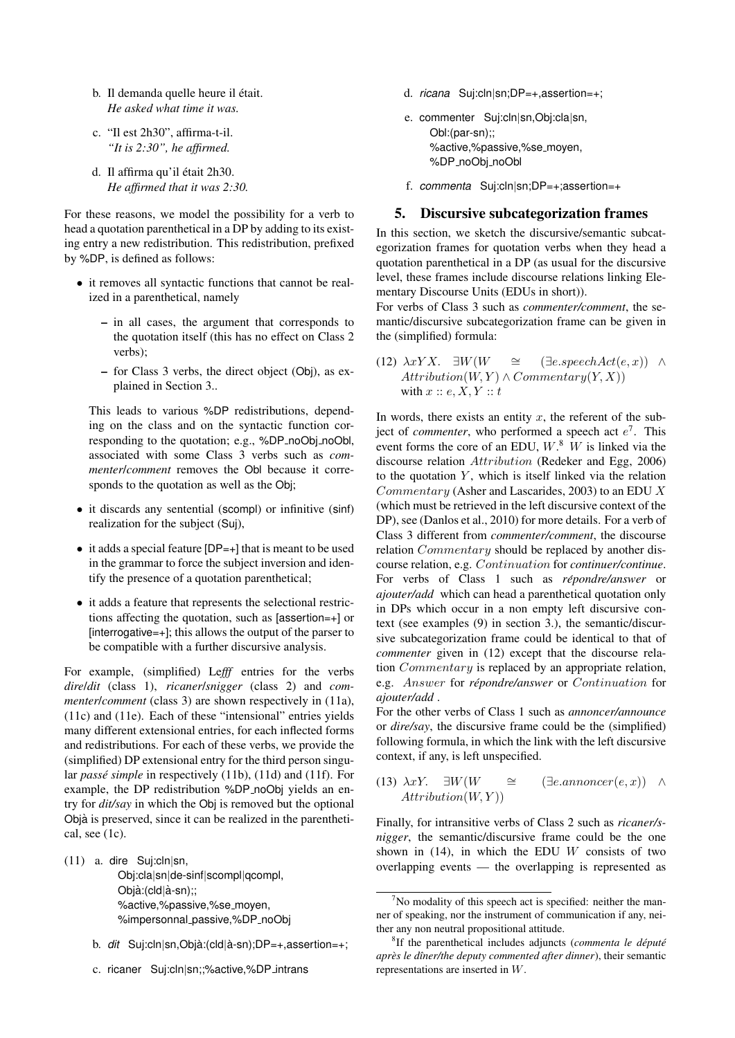- b. Il demanda quelle heure il était. *He asked what time it was.*
- c. "Il est 2h30", affirma-t-il. *"It is 2:30", he affirmed.*
- d. Il affirma qu'il était 2h30. *He affirmed that it was 2:30.*

For these reasons, we model the possibility for a verb to head a quotation parenthetical in a DP by adding to its existing entry a new redistribution. This redistribution, prefixed by %DP, is defined as follows:

- it removes all syntactic functions that cannot be realized in a parenthetical, namely
	- in all cases, the argument that corresponds to the quotation itself (this has no effect on Class 2 verbs);
	- for Class 3 verbs, the direct object (Obj), as explained in Section 3..

This leads to various %DP redistributions, depending on the class and on the syntactic function corresponding to the quotation; e.g., %DP\_noObj\_noObl, associated with some Class 3 verbs such as *commenter*/*comment* removes the Obl because it corresponds to the quotation as well as the Obj;

- it discards any sentential (scompl) or infinitive (sinf) realization for the subject (Suj),
- it adds a special feature [DP=+] that is meant to be used in the grammar to force the subject inversion and identify the presence of a quotation parenthetical;
- it adds a feature that represents the selectional restrictions affecting the quotation, such as [assertion=+] or  $[interrogative=+]$ ; this allows the output of the parser to be compatible with a further discursive analysis.

For example, (simplified) Le*fff* entries for the verbs *dire*/*dit* (class 1), *ricaner*/*snigger* (class 2) and *commenter*/*comment* (class 3) are shown respectively in (11a), (11c) and (11e). Each of these "intensional" entries yields many different extensional entries, for each inflected forms and redistributions. For each of these verbs, we provide the (simplified) DP extensional entry for the third person singular *passé simple* in respectively (11b), (11d) and (11f). For example, the DP redistribution %DP\_noObj yields an entry for *dit/say* in which the Obj is removed but the optional Obja` is preserved, since it can be realized in the parenthetical, see (1c).

(11) a. dire Suj:cln|sn,

Obj:cla|sn|de-sinf|scompl|qcompl, Objà:(cld|à-sn);; %active,%passive,%se moyen, %impersonnal\_passive,%DP\_noObj

- b. *dit* Suj:cln|sn,Objà:(cld|à-sn);DP=+,assertion=+;
- c. ricaner Suj:cln|sn;;%active,%DP intrans
- d. *ricana* Suj:cln|sn;DP=+,assertion=+;
- e. commenter Suj:cln|sn,Obj:cla|sn, Obl:(par-sn);; %active,%passive,%se moyen, %DP\_noObi\_noObl
- f. *commenta* Suj:cln|sn;DP=+;assertion=+

### 5. Discursive subcategorization frames

In this section, we sketch the discursive/semantic subcategorization frames for quotation verbs when they head a quotation parenthetical in a DP (as usual for the discursive level, these frames include discourse relations linking Elementary Discourse Units (EDUs in short)).

For verbs of Class 3 such as *commenter/comment*, the semantic/discursive subcategorization frame can be given in the (simplified) formula:

(12)  $\lambda x Y X$ . ∃W(W ≅ (∃e.speechAct(e, x)) ∧  $Attributeation(W, Y) \wedge Commentary(Y, X))$ with  $x :: e, X, Y :: t$ 

In words, there exists an entity  $x$ , the referent of the subject of *commenter*, who performed a speech act  $e^7$ . This event forms the core of an EDU,  $W$ <sup>8</sup>. W is linked via the discourse relation Attribution (Redeker and Egg, 2006) to the quotation  $Y$ , which is itself linked via the relation  $Commentary$  (Asher and Lascarides, 2003) to an EDU X (which must be retrieved in the left discursive context of the DP), see (Danlos et al., 2010) for more details. For a verb of Class 3 different from *commenter/comment*, the discourse relation *Commentary* should be replaced by another discourse relation, e.g. Continuation for *continuer/continue*. For verbs of Class 1 such as *répondre/answer* or *ajouter/add* which can head a parenthetical quotation only in DPs which occur in a non empty left discursive context (see examples (9) in section 3.), the semantic/discursive subcategorization frame could be identical to that of *commenter* given in (12) except that the discourse relation Commentary is replaced by an appropriate relation, e.g. Answer for *répondre/answer* or *Continuation* for *ajouter/add* .

For the other verbs of Class 1 such as *annoncer/announce* or *dire/say*, the discursive frame could be the (simplified) following formula, in which the link with the left discursive context, if any, is left unspecified.

(13) 
$$
\lambda xY
$$
.  $\exists W(W \cong (\exists e.annoncer(e, x)) \land$   
Attention(W, Y))

Finally, for intransitive verbs of Class 2 such as *ricaner/snigger*, the semantic/discursive frame could be the one shown in (14), in which the EDU  $W$  consists of two overlapping events — the overlapping is represented as

 $<sup>7</sup>No$  modality of this speech act is specified: neither the man-</sup> ner of speaking, nor the instrument of communication if any, neither any non neutral propositional attitude.

<sup>&</sup>lt;sup>8</sup>If the parenthetical includes adjuncts (*commenta le député apres le d ` ˆıner/the deputy commented after dinner*), their semantic representations are inserted in W.